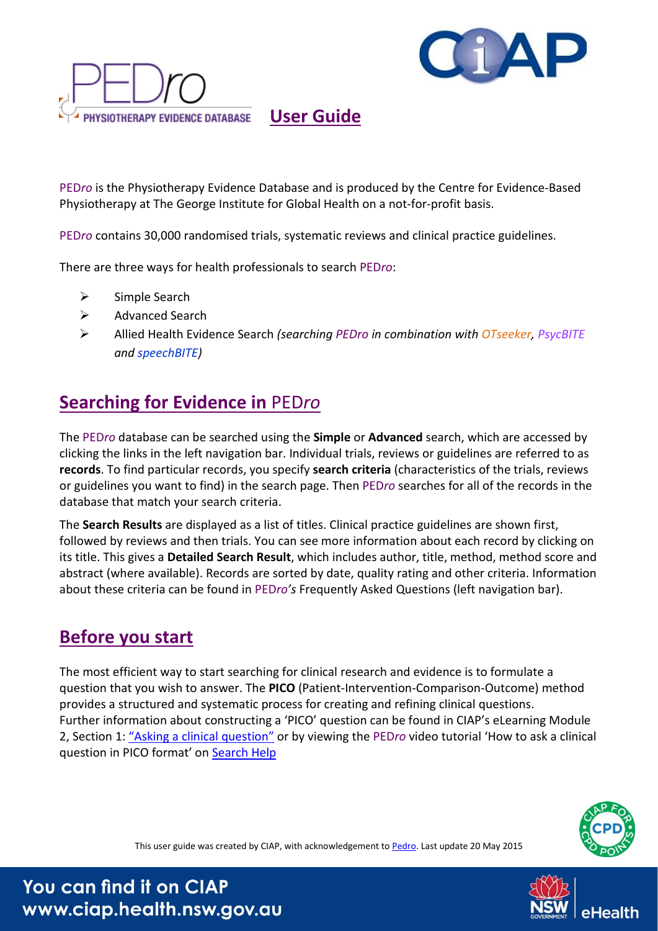



 **User Guide**

PED*ro* is the Physiotherapy Evidence Database and is produced by the Centre for Evidence-Based Physiotherapy at The George Institute for Global Health on a not-for-profit basis.

PED*ro* contains 30,000 randomised trials, systematic reviews and clinical practice guidelines.

There are three ways for health professionals to search PED*ro*:

- $\triangleright$  Simple Search
- **▶ Advanced Search**
- Allied Health Evidence Search *(searching PEDro in combination with OTseeker, PsycBITE and speechBITE)*

### **Searching for Evidence in** PED*ro*

The PED*ro* database can be searched using the **Simple** or **Advanced** search, which are accessed by clicking the links in the left navigation bar. Individual trials, reviews or guidelines are referred to as **records**. To find particular records, you specify **search criteria** (characteristics of the trials, reviews or guidelines you want to find) in the search page. Then PED*ro* searches for all of the records in the database that match your search criteria.

The **Search Results** are displayed as a list of titles. Clinical practice guidelines are shown first, followed by reviews and then trials. You can see more information about each record by clicking on its title. This gives a **Detailed Search Result**, which includes author, title, method, method score and abstract (where available). Records are sorted by date, quality rating and other criteria. Information about these criteria can be found in PED*ro's* Frequently Asked Questions (left navigation bar).

# **Before you start**

The most efficient way to start searching for clinical research and evidence is to formulate a question that you wish to answer. The **PICO** (Patient-Intervention-Comparison-Outcome) method provides a structured and systematic process for creating and refining clinical questions. Further information about constructing a 'PICO' question can be found in CIAP's eLearning Module 2, Section 1: ["Asking a clinical question"](http://www.ciap.health.nsw.gov.au/learning/userguides.html) or by viewing the PED*ro* video tutorial 'How to ask a clinical question in PICO format' on [Search Help](http://www.pedro.org.au/english/search-help/)



This user guide was created by CIAP, with acknowledgement to [Pedro.](http://www.pedro.org.au/) Last update 20 May 2015

You can find it on CIAP www.ciap.health.nsw.gov.au